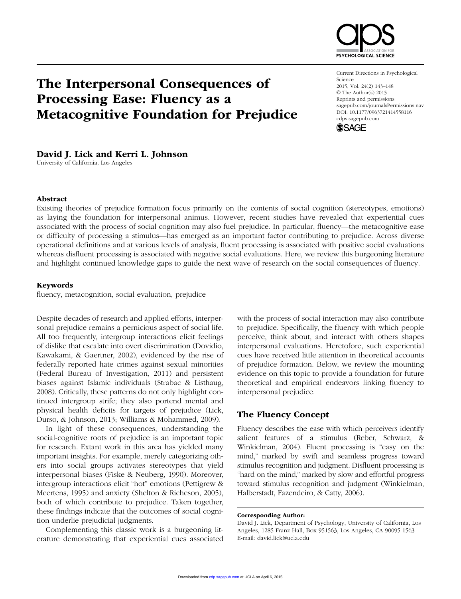

# The Interpersonal Consequences of Processing Ease: Fluency as a Metacognitive Foundation for Prejudice

Current Directions in Psychological Science 2015, Vol. 24(2) 143–148 © The Author(s) 2015 Reprints and permissions: sagepub.com/journalsPermissions.nav DOI: 10.1177/0963721414558116 cdps.sagepub.com



# David J. Lick and Kerri L. Johnson

University of California, Los Angeles

## Abstract

Existing theories of prejudice formation focus primarily on the contents of social cognition (stereotypes, emotions) as laying the foundation for interpersonal animus. However, recent studies have revealed that experiential cues associated with the process of social cognition may also fuel prejudice. In particular, fluency—the metacognitive ease or difficulty of processing a stimulus—has emerged as an important factor contributing to prejudice. Across diverse operational definitions and at various levels of analysis, fluent processing is associated with positive social evaluations whereas disfluent processing is associated with negative social evaluations. Here, we review this burgeoning literature and highlight continued knowledge gaps to guide the next wave of research on the social consequences of fluency.

## Keywords

fluency, metacognition, social evaluation, prejudice

Despite decades of research and applied efforts, interpersonal prejudice remains a pernicious aspect of social life. All too frequently, intergroup interactions elicit feelings of dislike that escalate into overt discrimination (Dovidio, Kawakami, & Gaertner, 2002), evidenced by the rise of federally reported hate crimes against sexual minorities (Federal Bureau of Investigation, 2011) and persistent biases against Islamic individuals (Strabac & Listhaug, 2008). Critically, these patterns do not only highlight continued intergroup strife; they also portend mental and physical health deficits for targets of prejudice (Lick, Durso, & Johnson, 2013; Williams & Mohammed, 2009).

In light of these consequences, understanding the social-cognitive roots of prejudice is an important topic for research. Extant work in this area has yielded many important insights. For example, merely categorizing others into social groups activates stereotypes that yield interpersonal biases (Fiske & Neuberg, 1990). Moreover, intergroup interactions elicit "hot" emotions (Pettigrew & Meertens, 1995) and anxiety (Shelton & Richeson, 2005), both of which contribute to prejudice. Taken together, these findings indicate that the outcomes of social cognition underlie prejudicial judgments.

Complementing this classic work is a burgeoning literature demonstrating that experiential cues associated with the process of social interaction may also contribute to prejudice. Specifically, the fluency with which people perceive, think about, and interact with others shapes interpersonal evaluations. Heretofore, such experiential cues have received little attention in theoretical accounts of prejudice formation. Below, we review the mounting evidence on this topic to provide a foundation for future theoretical and empirical endeavors linking fluency to interpersonal prejudice.

# The Fluency Concept

Fluency describes the ease with which perceivers identify salient features of a stimulus (Reber, Schwarz, & Winkielman, 2004). Fluent processing is "easy on the mind," marked by swift and seamless progress toward stimulus recognition and judgment. Disfluent processing is "hard on the mind," marked by slow and effortful progress toward stimulus recognition and judgment (Winkielman, Halberstadt, Fazendeiro, & Catty, 2006).

### Corresponding Author:

David J. Lick, Department of Psychology, University of California, Los Angeles, 1285 Franz Hall, Box 951563, Los Angeles, CA 90095-1563 E-mail: david.lick@ucla.edu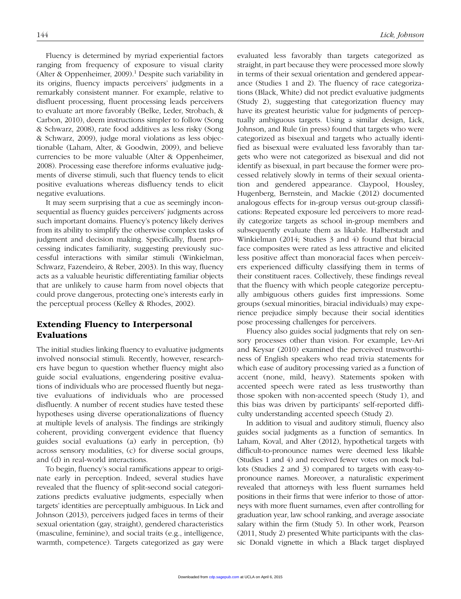Fluency is determined by myriad experiential factors ranging from frequency of exposure to visual clarity (Alter & Oppenheimer, 2009).<sup>1</sup> Despite such variability in its origins, fluency impacts perceivers' judgments in a remarkably consistent manner. For example, relative to disfluent processing, fluent processing leads perceivers to evaluate art more favorably (Belke, Leder, Strobach, & Carbon, 2010), deem instructions simpler to follow (Song & Schwarz, 2008), rate food additives as less risky (Song & Schwarz, 2009), judge moral violations as less objectionable (Laham, Alter, & Goodwin, 2009), and believe currencies to be more valuable (Alter & Oppenheimer, 2008). Processing ease therefore informs evaluative judgments of diverse stimuli, such that fluency tends to elicit positive evaluations whereas disfluency tends to elicit negative evaluations.

It may seem surprising that a cue as seemingly inconsequential as fluency guides perceivers' judgments across such important domains. Fluency's potency likely derives from its ability to simplify the otherwise complex tasks of judgment and decision making. Specifically, fluent processing indicates familiarity, suggesting previously successful interactions with similar stimuli (Winkielman, Schwarz, Fazendeiro, & Reber, 2003). In this way, fluency acts as a valuable heuristic differentiating familiar objects that are unlikely to cause harm from novel objects that could prove dangerous, protecting one's interests early in the perceptual process (Kelley & Rhodes, 2002).

## Extending Fluency to Interpersonal Evaluations

The initial studies linking fluency to evaluative judgments involved nonsocial stimuli. Recently, however, researchers have begun to question whether fluency might also guide social evaluations, engendering positive evaluations of individuals who are processed fluently but negative evaluations of individuals who are processed disfluently. A number of recent studies have tested these hypotheses using diverse operationalizations of fluency at multiple levels of analysis. The findings are strikingly coherent, providing convergent evidence that fluency guides social evaluations (a) early in perception, (b) across sensory modalities, (c) for diverse social groups, and (d) in real-world interactions.

To begin, fluency's social ramifications appear to originate early in perception. Indeed, several studies have revealed that the fluency of split-second social categorizations predicts evaluative judgments, especially when targets' identities are perceptually ambiguous. In Lick and Johnson (2013), perceivers judged faces in terms of their sexual orientation (gay, straight), gendered characteristics (masculine, feminine), and social traits (e.g., intelligence, warmth, competence). Targets categorized as gay were evaluated less favorably than targets categorized as straight, in part because they were processed more slowly in terms of their sexual orientation and gendered appearance (Studies 1 and 2). The fluency of race categorizations (Black, White) did not predict evaluative judgments (Study 2), suggesting that categorization fluency may have its greatest heuristic value for judgments of perceptually ambiguous targets. Using a similar design, Lick, Johnson, and Rule (in press) found that targets who were categorized as bisexual and targets who actually identified as bisexual were evaluated less favorably than targets who were not categorized as bisexual and did not identify as bisexual, in part because the former were processed relatively slowly in terms of their sexual orientation and gendered appearance. Claypool, Housley, Hugenberg, Bernstein, and Mackie (2012) documented analogous effects for in-group versus out-group classifications: Repeated exposure led perceivers to more readily categorize targets as school in-group members and subsequently evaluate them as likable. Halberstadt and Winkielman (2014; Studies 3 and 4) found that biracial face composites were rated as less attractive and elicited less positive affect than monoracial faces when perceivers experienced difficulty classifying them in terms of their constituent races. Collectively, these findings reveal that the fluency with which people categorize perceptually ambiguous others guides first impressions. Some groups (sexual minorities, biracial individuals) may experience prejudice simply because their social identities pose processing challenges for perceivers.

Fluency also guides social judgments that rely on sensory processes other than vision. For example, Lev-Ari and Keysar (2010) examined the perceived trustworthiness of English speakers who read trivia statements for which ease of auditory processing varied as a function of accent (none, mild, heavy). Statements spoken with accented speech were rated as less trustworthy than those spoken with non-accented speech (Study 1), and this bias was driven by participants' self-reported difficulty understanding accented speech (Study 2).

In addition to visual and auditory stimuli, fluency also guides social judgments as a function of semantics. In Laham, Koval, and Alter (2012), hypothetical targets with difficult-to-pronounce names were deemed less likable (Studies 1 and 4) and received fewer votes on mock ballots (Studies 2 and 3) compared to targets with easy-topronounce names. Moreover, a naturalistic experiment revealed that attorneys with less fluent surnames held positions in their firms that were inferior to those of attorneys with more fluent surnames, even after controlling for graduation year, law school ranking, and average associate salary within the firm (Study 5). In other work, Pearson (2011, Study 2) presented White participants with the classic Donald vignette in which a Black target displayed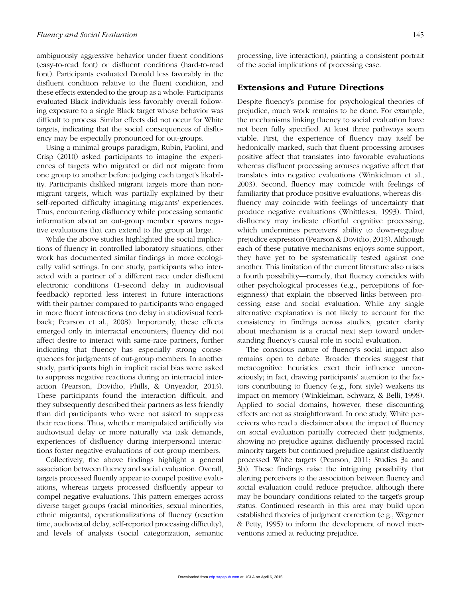ambiguously aggressive behavior under fluent conditions (easy-to-read font) or disfluent conditions (hard-to-read font). Participants evaluated Donald less favorably in the disfluent condition relative to the fluent condition, and these effects extended to the group as a whole: Participants evaluated Black individuals less favorably overall following exposure to a single Black target whose behavior was difficult to process. Similar effects did not occur for White targets, indicating that the social consequences of disfluency may be especially pronounced for out-groups.

Using a minimal groups paradigm, Rubin, Paolini, and Crisp (2010) asked participants to imagine the experiences of targets who migrated or did not migrate from one group to another before judging each target's likability. Participants disliked migrant targets more than nonmigrant targets, which was partially explained by their self-reported difficulty imagining migrants' experiences. Thus, encountering disfluency while processing semantic information about an out-group member spawns negative evaluations that can extend to the group at large.

While the above studies highlighted the social implications of fluency in controlled laboratory situations, other work has documented similar findings in more ecologically valid settings. In one study, participants who interacted with a partner of a different race under disfluent electronic conditions (1-second delay in audiovisual feedback) reported less interest in future interactions with their partner compared to participants who engaged in more fluent interactions (no delay in audiovisual feedback; Pearson et al., 2008). Importantly, these effects emerged only in interracial encounters; fluency did not affect desire to interact with same-race partners, further indicating that fluency has especially strong consequences for judgments of out-group members. In another study, participants high in implicit racial bias were asked to suppress negative reactions during an interracial interaction (Pearson, Dovidio, Phills, & Onyeador, 2013). These participants found the interaction difficult, and they subsequently described their partners as less friendly than did participants who were not asked to suppress their reactions. Thus, whether manipulated artificially via audiovisual delay or more naturally via task demands, experiences of disfluency during interpersonal interactions foster negative evaluations of out-group members.

Collectively, the above findings highlight a general association between fluency and social evaluation. Overall, targets processed fluently appear to compel positive evaluations, whereas targets processed disfluently appear to compel negative evaluations. This pattern emerges across diverse target groups (racial minorities, sexual minorities, ethnic migrants), operationalizations of fluency (reaction time, audiovisual delay, self-reported processing difficulty), and levels of analysis (social categorization, semantic processing, live interaction), painting a consistent portrait of the social implications of processing ease.

## Extensions and Future Directions

Despite fluency's promise for psychological theories of prejudice, much work remains to be done. For example, the mechanisms linking fluency to social evaluation have not been fully specified. At least three pathways seem viable. First, the experience of fluency may itself be hedonically marked, such that fluent processing arouses positive affect that translates into favorable evaluations whereas disfluent processing arouses negative affect that translates into negative evaluations (Winkielman et al., 2003). Second, fluency may coincide with feelings of familiarity that produce positive evaluations, whereas disfluency may coincide with feelings of uncertainty that produce negative evaluations (Whittlesea, 1993). Third, disfluency may indicate effortful cognitive processing, which undermines perceivers' ability to down-regulate prejudice expression (Pearson & Dovidio, 2013). Although each of these putative mechanisms enjoys some support, they have yet to be systematically tested against one another. This limitation of the current literature also raises a fourth possibility—namely, that fluency coincides with other psychological processes (e.g., perceptions of foreignness) that explain the observed links between processing ease and social evaluation. While any single alternative explanation is not likely to account for the consistency in findings across studies, greater clarity about mechanism is a crucial next step toward understanding fluency's causal role in social evaluation.

The conscious nature of fluency's social impact also remains open to debate. Broader theories suggest that metacognitive heuristics exert their influence unconsciously; in fact, drawing participants' attention to the factors contributing to fluency (e.g., font style) weakens its impact on memory (Winkielman, Schwarz, & Belli, 1998). Applied to social domains, however, these discounting effects are not as straightforward. In one study, White perceivers who read a disclaimer about the impact of fluency on social evaluation partially corrected their judgments, showing no prejudice against disfluently processed racial minority targets but continued prejudice against disfluently processed White targets (Pearson, 2011; Studies 3a and 3b). These findings raise the intriguing possibility that alerting perceivers to the association between fluency and social evaluation could reduce prejudice, although there may be boundary conditions related to the target's group status. Continued research in this area may build upon established theories of judgment correction (e.g., Wegener & Petty, 1995) to inform the development of novel interventions aimed at reducing prejudice.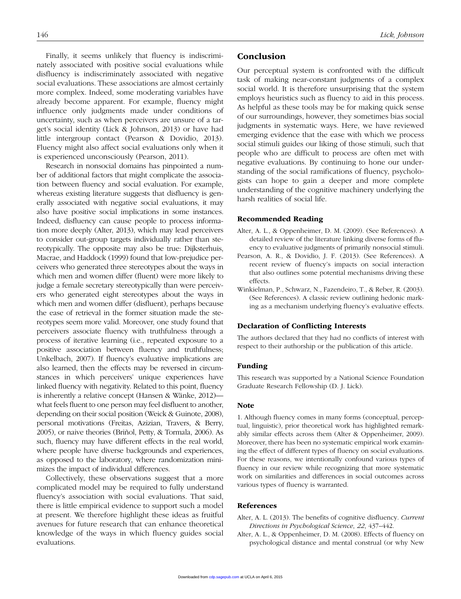Finally, it seems unlikely that fluency is indiscriminately associated with positive social evaluations while disfluency is indiscriminately associated with negative social evaluations. These associations are almost certainly more complex. Indeed, some moderating variables have already become apparent. For example, fluency might influence only judgments made under conditions of uncertainty, such as when perceivers are unsure of a target's social identity (Lick & Johnson, 2013) or have had little intergroup contact (Pearson & Dovidio, 2013). Fluency might also affect social evaluations only when it is experienced unconsciously (Pearson, 2011).

Research in nonsocial domains has pinpointed a number of additional factors that might complicate the association between fluency and social evaluation. For example, whereas existing literature suggests that disfluency is generally associated with negative social evaluations, it may also have positive social implications in some instances. Indeed, disfluency can cause people to process information more deeply (Alter, 2013), which may lead perceivers to consider out-group targets individually rather than stereotypically. The opposite may also be true: Dijksterhuis, Macrae, and Haddock (1999) found that low-prejudice perceivers who generated three stereotypes about the ways in which men and women differ (fluent) were more likely to judge a female secretary stereotypically than were perceivers who generated eight stereotypes about the ways in which men and women differ (disfluent), perhaps because the ease of retrieval in the former situation made the stereotypes seem more valid. Moreover, one study found that perceivers associate fluency with truthfulness through a process of iterative learning (i.e., repeated exposure to a positive association between fluency and truthfulness; Unkelbach, 2007). If fluency's evaluative implications are also learned, then the effects may be reversed in circumstances in which perceivers' unique experiences have linked fluency with negativity. Related to this point, fluency is inherently a relative concept (Hansen & Wänke, 2012) what feels fluent to one person may feel disfluent to another, depending on their social position (Weick & Guinote, 2008), personal motivations (Freitas, Azizian, Travers, & Berry, 2005), or naive theories (Briñol, Petty, & Tormala, 2006). As such, fluency may have different effects in the real world, where people have diverse backgrounds and experiences, as opposed to the laboratory, where randomization minimizes the impact of individual differences.

Collectively, these observations suggest that a more complicated model may be required to fully understand fluency's association with social evaluations. That said, there is little empirical evidence to support such a model at present. We therefore highlight these ideas as fruitful avenues for future research that can enhance theoretical knowledge of the ways in which fluency guides social evaluations.

## Conclusion

Our perceptual system is confronted with the difficult task of making near-constant judgments of a complex social world. It is therefore unsurprising that the system employs heuristics such as fluency to aid in this process. As helpful as these tools may be for making quick sense of our surroundings, however, they sometimes bias social judgments in systematic ways. Here, we have reviewed emerging evidence that the ease with which we process social stimuli guides our liking of those stimuli, such that people who are difficult to process are often met with negative evaluations. By continuing to hone our understanding of the social ramifications of fluency, psychologists can hope to gain a deeper and more complete understanding of the cognitive machinery underlying the harsh realities of social life.

#### Recommended Reading

- Alter, A. L., & Oppenheimer, D. M. (2009). (See References). A detailed review of the literature linking diverse forms of fluency to evaluative judgments of primarily nonsocial stimuli.
- Pearson, A. R., & Dovidio, J. F. (2013). (See References). A recent review of fluency's impacts on social interaction that also outlines some potential mechanisms driving these effects.
- Winkielman, P., Schwarz, N., Fazendeiro, T., & Reber, R. (2003). (See References). A classic review outlining hedonic marking as a mechanism underlying fluency's evaluative effects.

### Declaration of Conflicting Interests

The authors declared that they had no conflicts of interest with respect to their authorship or the publication of this article.

### Funding

This research was supported by a National Science Foundation Graduate Research Fellowship (D. J. Lick).

### Note

1. Although fluency comes in many forms (conceptual, perceptual, linguistic), prior theoretical work has highlighted remarkably similar effects across them (Alter & Oppenheimer, 2009). Moreover, there has been no systematic empirical work examining the effect of different types of fluency on social evaluations. For these reasons, we intentionally confound various types of fluency in our review while recognizing that more systematic work on similarities and differences in social outcomes across various types of fluency is warranted.

#### References

Alter, A. L. (2013). The benefits of cognitive disfluency. *Current Directions in Psychological Science*, *22*, 437–442.

Alter, A. L., & Oppenheimer, D. M. (2008). Effects of fluency on psychological distance and mental construal (or why New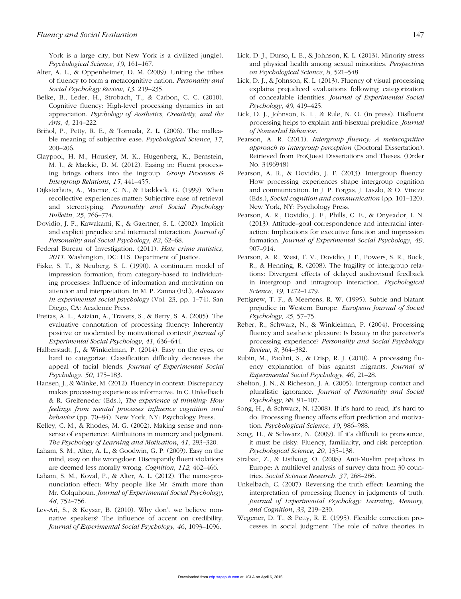York is a large city, but New York is a civilized jungle). *Psychological Science*, *19*, 161–167.

- Alter, A. L., & Oppenheimer, D. M. (2009). Uniting the tribes of fluency to form a metacognitive nation. *Personality and Social Psychology Review*, *13*, 219–235.
- Belke, B., Leder, H., Strobach, T., & Carbon, C. C. (2010). Cognitive fluency: High-level processing dynamics in art appreciation. *Psychology of Aesthetics, Creativity, and the Arts*, *4*, 214–222.
- Briñol, P., Petty, R. E., & Tormala, Z. L. (2006). The malleable meaning of subjective ease. *Psychological Science*, *17*, 200–206.
- Claypool, H. M., Housley, M. K., Hugenberg, K., Bernstein, M. J., & Mackie, D. M. (2012). Easing in: Fluent processing brings others into the ingroup. *Group Processes & Intergroup Relations*, *15*, 441–455.
- Dijksterhuis, A., Macrae, C. N., & Haddock, G. (1999). When recollective experiences matter: Subjective ease of retrieval and stereotyping. *Personality and Social Psychology Bulletin*, *25*, 766–774.
- Dovidio, J. F., Kawakami, K., & Gaertner, S. L. (2002). Implicit and explicit prejudice and interracial interaction. *Journal of Personality and Social Psychology*, *82*, 62–68.
- Federal Bureau of Investigation. (2011). *Hate crime statistics, 2011*. Washington, DC: U.S. Department of Justice.
- Fiske, S. T., & Neuberg, S. L. (1990). A continuum model of impression formation, from category-based to individuating processes: Influence of information and motivation on attention and interpretation. In M. P. Zanna (Ed.), *Advances in experimental social psychology* (Vol. 23, pp. 1–74). San Diego, CA: Academic Press.
- Freitas, A. L., Azizian, A., Travers, S., & Berry, S. A. (2005). The evaluative connotation of processing fluency: Inherently positive or moderated by motivational context? *Journal of Experimental Social Psychology*, *41*, 636–644.
- Halberstadt, J., & Winkielman, P. (2014). Easy on the eyes, or hard to categorize: Classification difficulty decreases the appeal of facial blends. *Journal of Experimental Social Psychology*, *50*, 175–183.
- Hansen, J., & Wänke, M. (2012). Fluency in context: Discrepancy makes processing experiences informative. In C. Unkelbach & R. Greifeneder (Eds.), *The experience of thinking: How feelings from mental processes influence cognition and behavior* (pp. 70–84). New York, NY: Psychology Press.
- Kelley, C. M., & Rhodes, M. G. (2002). Making sense and nonsense of experience: Attributions in memory and judgment. *The Psychology of Learning and Motivation*, *41*, 293–320.
- Laham, S. M., Alter, A. L., & Goodwin, G. P. (2009). Easy on the mind, easy on the wrongdoer: Discrepantly fluent violations are deemed less morally wrong. *Cognition*, *112*, 462–466.
- Laham, S. M., Koval, P., & Alter, A. L. (2012). The name-pronunciation effect: Why people like Mr. Smith more than Mr. Colquhoun. *Journal of Experimental Social Psychology*, *48*, 752–756.
- Lev-Ari, S., & Keysar, B. (2010). Why don't we believe nonnative speakers? The influence of accent on credibility. *Journal of Experimental Social Psychology*, *46*, 1093–1096.
- Lick, D. J., Durso, L. E., & Johnson, K. L. (2013). Minority stress and physical health among sexual minorities. *Perspectives on Psychological Science*, *8*, 521–548.
- Lick, D. J., & Johnson, K. L. (2013). Fluency of visual processing explains prejudiced evaluations following categorization of concealable identities. *Journal of Experimental Social Psychology*, *49*, 419–425.
- Lick, D. J., Johnson, K. L., & Rule, N. O. (in press). Disfluent processing helps to explain anti-bisexual prejudice. *Journal of Nonverbal Behavior*.
- Pearson, A. R. (2011). *Intergroup fluency: A metacognitive approach to intergroup perception* (Doctoral Dissertation). Retrieved from ProQuest Dissertations and Theses. (Order No. 3496948)
- Pearson, A. R., & Dovidio, J. F. (2013). Intergroup fluency: How processing experiences shape intergroup cognition and communication. In J. P. Forgas, J. Laszlo, & O. Vincze (Eds.), *Social cognition and communication* (pp. 101–120). New York, NY: Psychology Press.
- Pearson, A. R., Dovidio, J. F., Phills, C. E., & Onyeador, I. N. (2013). Attitude–goal correspondence and interracial interaction: Implications for executive function and impression formation. *Journal of Experimental Social Psychology*, *49*, 907–914.
- Pearson, A. R., West, T. V., Dovidio, J. F., Powers, S. R., Buck, R., & Henning, R. (2008). The fragility of intergroup relations: Divergent effects of delayed audiovisual feedback in intergroup and intragroup interaction. *Psychological Science*, *19*, 1272–1279.
- Pettigrew, T. F., & Meertens, R. W. (1995). Subtle and blatant prejudice in Western Europe. *European Journal of Social Psychology*, *25*, 57–75.
- Reber, R., Schwarz, N., & Winkielman, P. (2004). Processing fluency and aesthetic pleasure: Is beauty in the perceiver's processing experience? *Personality and Social Psychology Review*, *8*, 364–382.
- Rubin, M., Paolini, S., & Crisp, R. J. (2010). A processing fluency explanation of bias against migrants. *Journal of Experimental Social Psychology*, *46*, 21–28.
- Shelton, J. N., & Richeson, J. A. (2005). Intergroup contact and pluralistic ignorance. *Journal of Personality and Social Psychology*, *88*, 91–107.
- Song, H., & Schwarz, N. (2008). If it's hard to read, it's hard to do: Processing fluency affects effort prediction and motivation. *Psychological Science*, *19*, 986–988.
- Song, H., & Schwarz, N. (2009). If it's difficult to pronounce, it must be risky: Fluency, familiarity, and risk perception. *Psychological Science*, *20*, 135–138.
- Strabac, Z., & Listhaug, O. (2008). Anti-Muslim prejudices in Europe: A multilevel analysis of survey data from 30 countries. *Social Science Research*, *37*, 268–286.
- Unkelbach, C. (2007). Reversing the truth effect: Learning the interpretation of processing fluency in judgments of truth. *Journal of Experimental Psychology: Learning, Memory, and Cognition*, *33*, 219–230.
- Wegener, D. T., & Petty, R. E. (1995). Flexible correction processes in social judgment: The role of naïve theories in